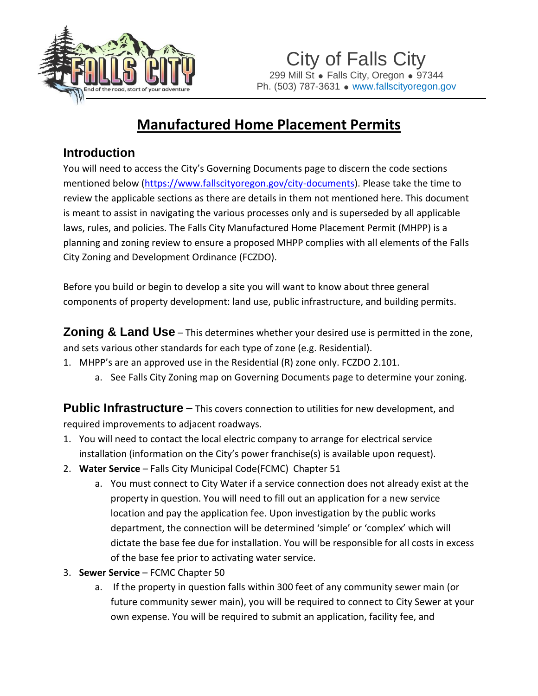

City of Falls City 299 Mill St . Falls City, Oregon . 97344 Ph. (503) 787-3631 • www.fallscityoregon.gov

## **Manufactured Home Placement Permits**

## **Introduction**

You will need to access the City's Governing Documents page to discern the code sections mentioned below [\(https://www.fallscityoregon.gov/city-documents\)](https://www.fallscityoregon.gov/city-documents). Please take the time to review the applicable sections as there are details in them not mentioned here. This document is meant to assist in navigating the various processes only and is superseded by all applicable laws, rules, and policies. The Falls City Manufactured Home Placement Permit (MHPP) is a planning and zoning review to ensure a proposed MHPP complies with all elements of the Falls City Zoning and Development Ordinance (FCZDO).

Before you build or begin to develop a site you will want to know about three general components of property development: land use, public infrastructure, and building permits.

**Zoning & Land Use** – This determines whether your desired use is permitted in the zone, and sets various other standards for each type of zone (e.g. Residential).

- 1. MHPP's are an approved use in the Residential (R) zone only. FCZDO 2.101.
	- a. See Falls City Zoning map on Governing Documents page to determine your zoning.

**Public Infrastructure** – This covers connection to utilities for new development, and required improvements to adjacent roadways.

- 1. You will need to contact the local electric company to arrange for electrical service installation (information on the City's power franchise(s) is available upon request).
- 2. **Water Service** Falls City Municipal Code(FCMC) Chapter 51
	- a. You must connect to City Water if a service connection does not already exist at the property in question. You will need to fill out an application for a new service location and pay the application fee. Upon investigation by the public works department, the connection will be determined 'simple' or 'complex' which will dictate the base fee due for installation. You will be responsible for all costs in excess of the base fee prior to activating water service.
- 3. **Sewer Service** FCMC Chapter 50
	- a. If the property in question falls within 300 feet of any community sewer main (or future community sewer main), you will be required to connect to City Sewer at your own expense. You will be required to submit an application, facility fee, and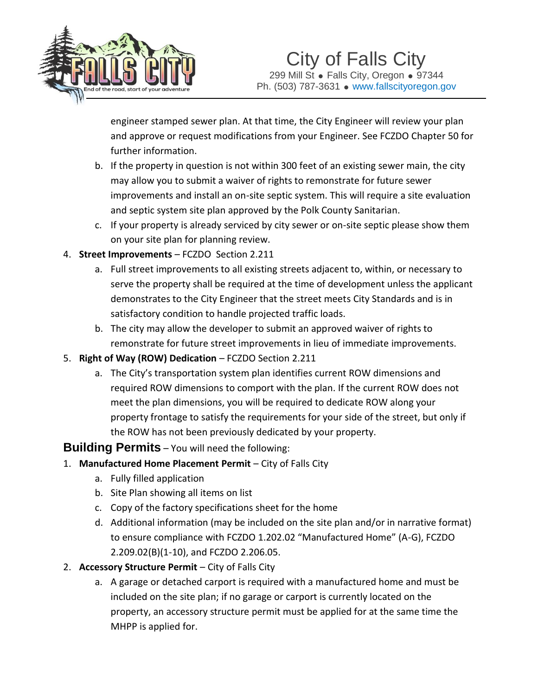

engineer stamped sewer plan. At that time, the City Engineer will review your plan and approve or request modifications from your Engineer. See FCZDO Chapter 50 for further information.

- b. If the property in question is not within 300 feet of an existing sewer main, the city may allow you to submit a waiver of rights to remonstrate for future sewer improvements and install an on-site septic system. This will require a site evaluation and septic system site plan approved by the Polk County Sanitarian.
- c. If your property is already serviced by city sewer or on-site septic please show them on your site plan for planning review.
- 4. **Street Improvements** FCZDO Section 2.211
	- a. Full street improvements to all existing streets adjacent to, within, or necessary to serve the property shall be required at the time of development unless the applicant demonstrates to the City Engineer that the street meets City Standards and is in satisfactory condition to handle projected traffic loads.
	- b. The city may allow the developer to submit an approved waiver of rights to remonstrate for future street improvements in lieu of immediate improvements.
- 5. **Right of Way (ROW) Dedication** FCZDO Section 2.211
	- a. The City's transportation system plan identifies current ROW dimensions and required ROW dimensions to comport with the plan. If the current ROW does not meet the plan dimensions, you will be required to dedicate ROW along your property frontage to satisfy the requirements for your side of the street, but only if the ROW has not been previously dedicated by your property.

## **Building Permits** – You will need the following:

- 1. **Manufactured Home Placement Permit** City of Falls City
	- a. Fully filled application
	- b. Site Plan showing all items on list
	- c. Copy of the factory specifications sheet for the home
	- d. Additional information (may be included on the site plan and/or in narrative format) to ensure compliance with FCZDO 1.202.02 "Manufactured Home" (A-G), FCZDO 2.209.02(B)(1-10), and FCZDO 2.206.05.
- 2. **Accessory Structure Permit** City of Falls City
	- a. A garage or detached carport is required with a manufactured home and must be included on the site plan; if no garage or carport is currently located on the property, an accessory structure permit must be applied for at the same time the MHPP is applied for.